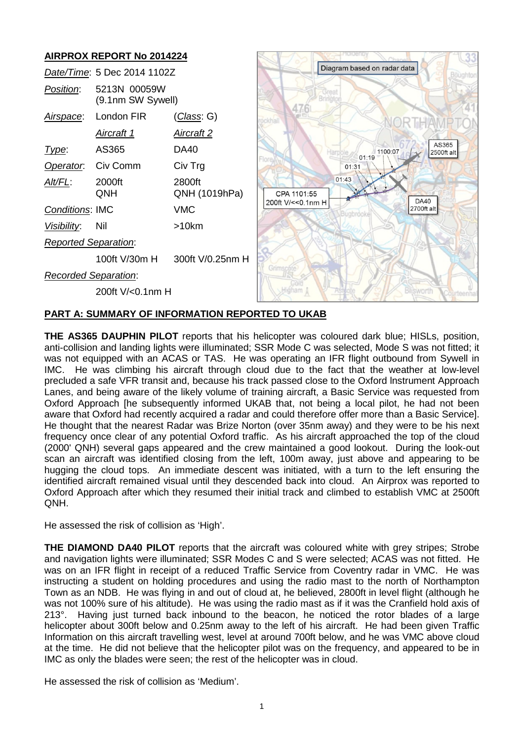#### **AIRPROX REPORT No 2014224** Diagram based on radar data *Date/Time*: 5 Dec 2014 1102Z *Position*: 5213N 00059W (9.1nm SW Sywell) 47.6 *Airspace*: London FIR (*Class*: G) NORTHAMP *Aircraft 1 Aircraft 2* AS365 *Type*: AS365 DA40 1100:07  $2500ft$  alt Harr  $01.19$ *Operator*: Civ Comm Civ Trg  $01:31$  $01.43$ *Alt/FL*: 2000ft 2800ft QNH QNH (1019hPa) CPA 1101:55 **DA40** 200ft V/ << 0.1nm H 2700ft alt *Conditions*: IMC VMC *Visibility*: Nil >10km *Reported Separation*: 100ft V/30m H 300ft V/0.25nm H *Recorded Separation*: sworth 200ft V/<0.1nm H

# **PART A: SUMMARY OF INFORMATION REPORTED TO UKAB**

**THE AS365 DAUPHIN PILOT** reports that his helicopter was coloured dark blue; HISLs, position, anti-collision and landing lights were illuminated; SSR Mode C was selected, Mode S was not fitted; it was not equipped with an ACAS or TAS. He was operating an IFR flight outbound from Sywell in IMC. He was climbing his aircraft through cloud due to the fact that the weather at low-level precluded a safe VFR transit and, because his track passed close to the Oxford lnstrument Approach Lanes, and being aware of the likely volume of training aircraft, a Basic Service was requested from Oxford Approach [he subsequently informed UKAB that, not being a local pilot, he had not been aware that Oxford had recently acquired a radar and could therefore offer more than a Basic Service]. He thought that the nearest Radar was Brize Norton (over 35nm away) and they were to be his next frequency once clear of any potential Oxford traffic. As his aircraft approached the top of the cloud (2000' QNH) several gaps appeared and the crew maintained a good lookout. During the look-out scan an aircraft was identified closing from the left, 100m away, just above and appearing to be hugging the cloud tops. An immediate descent was initiated, with a turn to the left ensuring the identified aircraft remained visual until they descended back into cloud. An Airprox was reported to Oxford Approach after which they resumed their initial track and climbed to establish VMC at 2500ft QNH.

He assessed the risk of collision as 'High'.

**THE DIAMOND DA40 PILOT** reports that the aircraft was coloured white with grey stripes; Strobe and navigation lights were illuminated; SSR Modes C and S were selected; ACAS was not fitted. He was on an IFR flight in receipt of a reduced Traffic Service from Coventry radar in VMC. He was instructing a student on holding procedures and using the radio mast to the north of Northampton Town as an NDB. He was flying in and out of cloud at, he believed, 2800ft in level flight (although he was not 100% sure of his altitude). He was using the radio mast as if it was the Cranfield hold axis of 213°. Having just turned back inbound to the beacon, he noticed the rotor blades of a large helicopter about 300ft below and 0.25nm away to the left of his aircraft. He had been given Traffic Information on this aircraft travelling west, level at around 700ft below, and he was VMC above cloud at the time. He did not believe that the helicopter pilot was on the frequency, and appeared to be in IMC as only the blades were seen; the rest of the helicopter was in cloud.

He assessed the risk of collision as 'Medium'.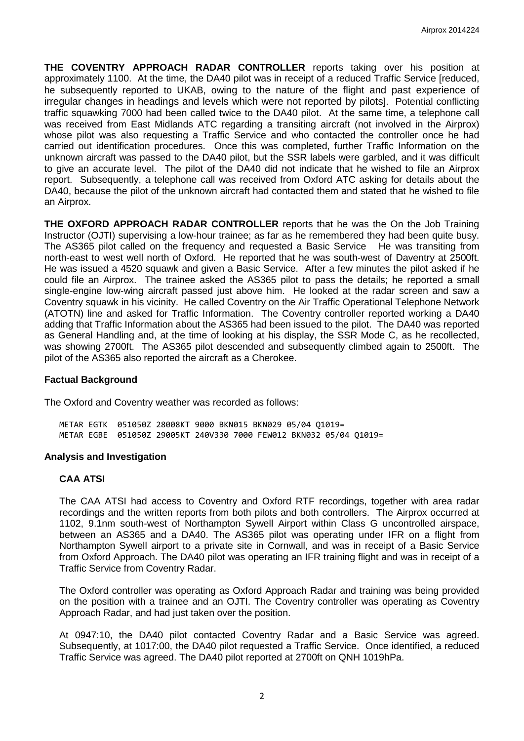**THE COVENTRY APPROACH RADAR CONTROLLER** reports taking over his position at approximately 1100. At the time, the DA40 pilot was in receipt of a reduced Traffic Service [reduced, he subsequently reported to UKAB, owing to the nature of the flight and past experience of irregular changes in headings and levels which were not reported by pilots]. Potential conflicting traffic squawking 7000 had been called twice to the DA40 pilot. At the same time, a telephone call was received from East Midlands ATC regarding a transiting aircraft (not involved in the Airprox) whose pilot was also requesting a Traffic Service and who contacted the controller once he had carried out identification procedures. Once this was completed, further Traffic Information on the unknown aircraft was passed to the DA40 pilot, but the SSR labels were garbled, and it was difficult to give an accurate level. The pilot of the DA40 did not indicate that he wished to file an Airprox report. Subsequently, a telephone call was received from Oxford ATC asking for details about the DA40, because the pilot of the unknown aircraft had contacted them and stated that he wished to file an Airprox.

**THE OXFORD APPROACH RADAR CONTROLLER** reports that he was the On the Job Training Instructor (OJTI) supervising a low-hour trainee; as far as he remembered they had been quite busy. The AS365 pilot called on the frequency and requested a Basic Service He was transiting from north-east to west well north of Oxford. He reported that he was south-west of Daventry at 2500ft. He was issued a 4520 squawk and given a Basic Service. After a few minutes the pilot asked if he could file an Airprox. The trainee asked the AS365 pilot to pass the details; he reported a small single-engine low-wing aircraft passed just above him. He looked at the radar screen and saw a Coventry squawk in his vicinity. He called Coventry on the Air Traffic Operational Telephone Network (ATOTN) line and asked for Traffic Information. The Coventry controller reported working a DA40 adding that Traffic Information about the AS365 had been issued to the pilot. The DA40 was reported as General Handling and, at the time of looking at his display, the SSR Mode C, as he recollected, was showing 2700ft. The AS365 pilot descended and subsequently climbed again to 2500ft. The pilot of the AS365 also reported the aircraft as a Cherokee.

#### **Factual Background**

The Oxford and Coventry weather was recorded as follows:

METAR EGTK 051050Z 28008KT 9000 BKN015 BKN029 05/04 Q1019= METAR EGBE 051050Z 29005KT 240V330 7000 FEW012 BKN032 05/04 Q1019=

#### **Analysis and Investigation**

#### **CAA ATSI**

The CAA ATSI had access to Coventry and Oxford RTF recordings, together with area radar recordings and the written reports from both pilots and both controllers. The Airprox occurred at 1102, 9.1nm south-west of Northampton Sywell Airport within Class G uncontrolled airspace, between an AS365 and a DA40. The AS365 pilot was operating under IFR on a flight from Northampton Sywell airport to a private site in Cornwall, and was in receipt of a Basic Service from Oxford Approach. The DA40 pilot was operating an IFR training flight and was in receipt of a Traffic Service from Coventry Radar.

The Oxford controller was operating as Oxford Approach Radar and training was being provided on the position with a trainee and an OJTI. The Coventry controller was operating as Coventry Approach Radar, and had just taken over the position.

At 0947:10, the DA40 pilot contacted Coventry Radar and a Basic Service was agreed. Subsequently, at 1017:00, the DA40 pilot requested a Traffic Service. Once identified, a reduced Traffic Service was agreed. The DA40 pilot reported at 2700ft on QNH 1019hPa.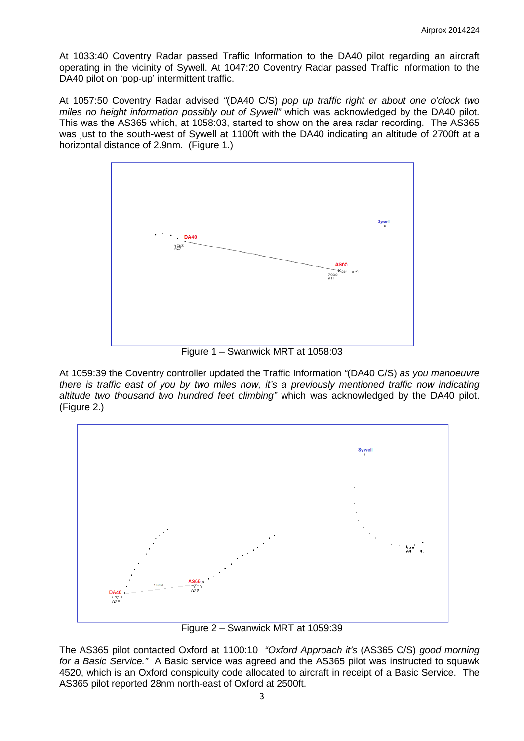At 1033:40 Coventry Radar passed Traffic Information to the DA40 pilot regarding an aircraft operating in the vicinity of Sywell. At 1047:20 Coventry Radar passed Traffic Information to the DA40 pilot on 'pop-up' intermittent traffic.

At 1057:50 Coventry Radar advised *"*(DA40 C/S) *pop up traffic right er about one o'clock two miles no height information possibly out of Sywell"* which was acknowledged by the DA40 pilot. This was the AS365 which, at 1058:03, started to show on the area radar recording. The AS365 was just to the south-west of Sywell at 1100ft with the DA40 indicating an altitude of 2700ft at a horizontal distance of 2.9nm. (Figure 1.)



Figure 1 – Swanwick MRT at 1058:03

At 1059:39 the Coventry controller updated the Traffic Information *"*(DA40 C/S) *as you manoeuvre there is traffic east of you by two miles now, it's a previously mentioned traffic now indicating altitude two thousand two hundred feet climbing"* which was acknowledged by the DA40 pilot. (Figure 2.)



Figure 2 – Swanwick MRT at 1059:39

The AS365 pilot contacted Oxford at 1100:10 *"Oxford Approach it's* (AS365 C/S) *good morning for a Basic Service."* A Basic service was agreed and the AS365 pilot was instructed to squawk 4520, which is an Oxford conspicuity code allocated to aircraft in receipt of a Basic Service. The AS365 pilot reported 28nm north-east of Oxford at 2500ft.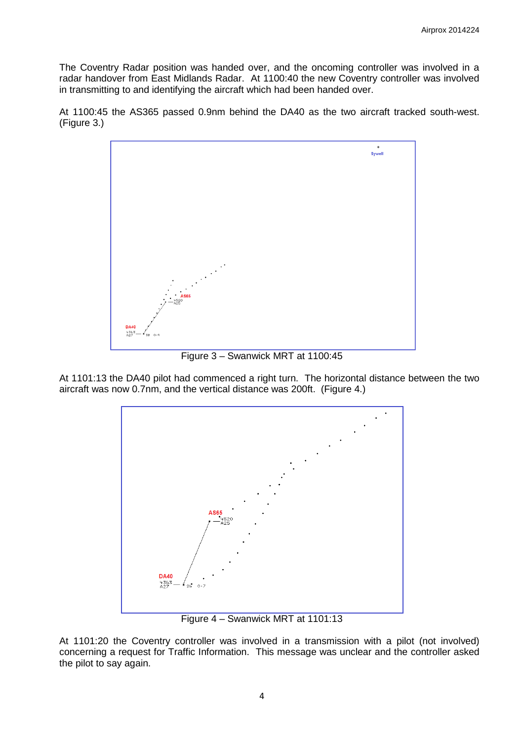The Coventry Radar position was handed over, and the oncoming controller was involved in a radar handover from East Midlands Radar. At 1100:40 the new Coventry controller was involved in transmitting to and identifying the aircraft which had been handed over.

At 1100:45 the AS365 passed 0.9nm behind the DA40 as the two aircraft tracked south-west. (Figure 3.)



Figure 3 – Swanwick MRT at 1100:45

At 1101:13 the DA40 pilot had commenced a right turn. The horizontal distance between the two aircraft was now 0.7nm, and the vertical distance was 200ft. (Figure 4.)



Figure 4 – Swanwick MRT at 1101:13

At 1101:20 the Coventry controller was involved in a transmission with a pilot (not involved) concerning a request for Traffic Information. This message was unclear and the controller asked the pilot to say again.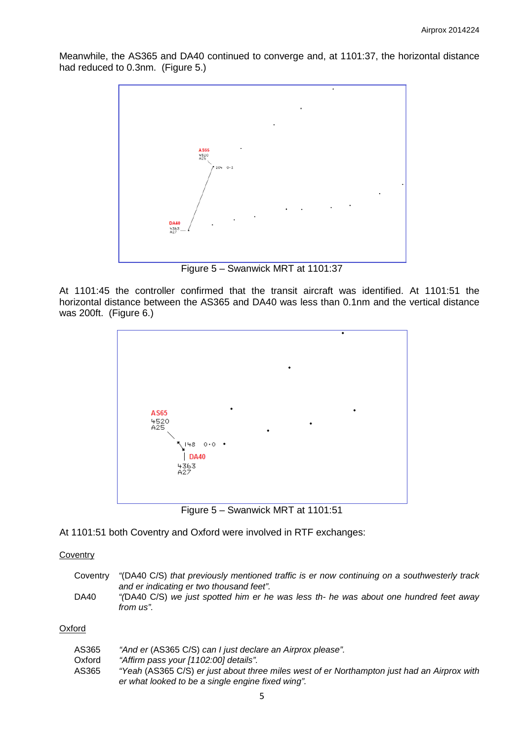Meanwhile, the AS365 and DA40 continued to converge and, at 1101:37, the horizontal distance had reduced to 0.3nm. (Figure 5.)



Figure 5 – Swanwick MRT at 1101:37

At 1101:45 the controller confirmed that the transit aircraft was identified. At 1101:51 the horizontal distance between the AS365 and DA40 was less than 0.1nm and the vertical distance was 200ft. (Figure 6.)



Figure 5 – Swanwick MRT at 1101:51

At 1101:51 both Coventry and Oxford were involved in RTF exchanges:

### **Coventry**

| Coventry | "(DA40 C/S) that previously mentioned traffic is er now continuing on a southwesterly track                                                    |
|----------|------------------------------------------------------------------------------------------------------------------------------------------------|
| DA40     | and er indicating er two thousand feet".<br>"(DA40 C/S) we just spotted him er he was less th- he was about one hundred feet away<br>from us". |

#### **Oxford**

| AS365  | "And er (AS365 C/S) can I just declare an Airprox please".                                  |
|--------|---------------------------------------------------------------------------------------------|
| Oxford | "Affirm pass your [1102:00] details".                                                       |
| AS365  | "Yeah (AS365 C/S) er just about three miles west of er Northampton just had an Airprox with |
|        | er what looked to be a single engine fixed wing".                                           |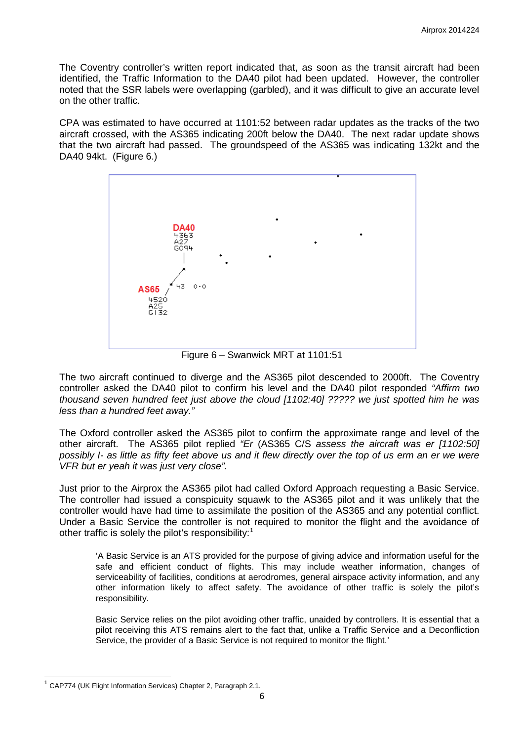The Coventry controller's written report indicated that, as soon as the transit aircraft had been identified, the Traffic Information to the DA40 pilot had been updated. However, the controller noted that the SSR labels were overlapping (garbled), and it was difficult to give an accurate level on the other traffic.

CPA was estimated to have occurred at 1101:52 between radar updates as the tracks of the two aircraft crossed, with the AS365 indicating 200ft below the DA40. The next radar update shows that the two aircraft had passed. The groundspeed of the AS365 was indicating 132kt and the DA40 94kt. (Figure 6.)



Figure 6 – Swanwick MRT at 1101:51

The two aircraft continued to diverge and the AS365 pilot descended to 2000ft. The Coventry controller asked the DA40 pilot to confirm his level and the DA40 pilot responded *"Affirm two thousand seven hundred feet just above the cloud [1102:40] ????? we just spotted him he was less than a hundred feet away."*

The Oxford controller asked the AS365 pilot to confirm the approximate range and level of the other aircraft. The AS365 pilot replied *"Er* (AS365 C/S *assess the aircraft was er [1102:50]*  possibly I- as little as fifty feet above us and it flew directly over the top of us erm an er we were *VFR but er yeah it was just very close".*

Just prior to the Airprox the AS365 pilot had called Oxford Approach requesting a Basic Service. The controller had issued a conspicuity squawk to the AS365 pilot and it was unlikely that the controller would have had time to assimilate the position of the AS365 and any potential conflict. Under a Basic Service the controller is not required to monitor the flight and the avoidance of other traffic is solely the pilot's responsibility: $1$ 

'A Basic Service is an ATS provided for the purpose of giving advice and information useful for the safe and efficient conduct of flights. This may include weather information, changes of serviceability of facilities, conditions at aerodromes, general airspace activity information, and any other information likely to affect safety. The avoidance of other traffic is solely the pilot's responsibility.

Basic Service relies on the pilot avoiding other traffic, unaided by controllers. It is essential that a pilot receiving this ATS remains alert to the fact that, unlike a Traffic Service and a Deconfliction Service, the provider of a Basic Service is not required to monitor the flight.'

<span id="page-5-0"></span> $\overline{\phantom{a}}$  $1$  CAP774 (UK Flight Information Services) Chapter 2, Paragraph 2.1.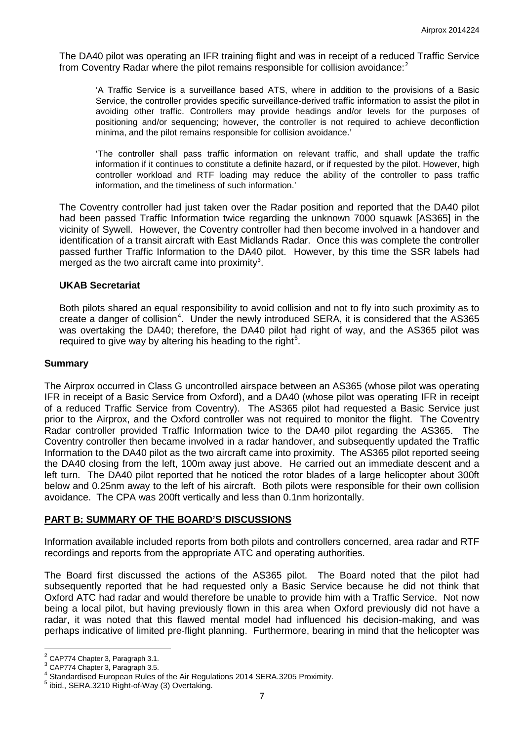The DA40 pilot was operating an IFR training flight and was in receipt of a reduced Traffic Service from Coventry Radar where the pilot remains responsible for collision avoidance:<sup>[2](#page-6-0)</sup>

'A Traffic Service is a surveillance based ATS, where in addition to the provisions of a Basic Service, the controller provides specific surveillance-derived traffic information to assist the pilot in avoiding other traffic. Controllers may provide headings and/or levels for the purposes of positioning and/or sequencing; however, the controller is not required to achieve deconfliction minima, and the pilot remains responsible for collision avoidance.'

'The controller shall pass traffic information on relevant traffic, and shall update the traffic information if it continues to constitute a definite hazard, or if requested by the pilot. However, high controller workload and RTF loading may reduce the ability of the controller to pass traffic information, and the timeliness of such information.'

The Coventry controller had just taken over the Radar position and reported that the DA40 pilot had been passed Traffic Information twice regarding the unknown 7000 squawk [AS365] in the vicinity of Sywell. However, the Coventry controller had then become involved in a handover and identification of a transit aircraft with East Midlands Radar. Once this was complete the controller passed further Traffic Information to the DA40 pilot. However, by this time the SSR labels had merged as the two aircraft came into proximity<sup>[3](#page-6-1)</sup>.

# **UKAB Secretariat**

Both pilots shared an equal responsibility to avoid collision and not to fly into such proximity as to create a danger of collision<sup>[4](#page-6-2)</sup>. Under the newly introduced SERA, it is considered that the AS365 was overtaking the DA40; therefore, the DA40 pilot had right of way, and the AS365 pilot was required to give way by altering his heading to the right $5$ .

#### **Summary**

The Airprox occurred in Class G uncontrolled airspace between an AS365 (whose pilot was operating IFR in receipt of a Basic Service from Oxford), and a DA40 (whose pilot was operating IFR in receipt of a reduced Traffic Service from Coventry). The AS365 pilot had requested a Basic Service just prior to the Airprox, and the Oxford controller was not required to monitor the flight. The Coventry Radar controller provided Traffic Information twice to the DA40 pilot regarding the AS365. The Coventry controller then became involved in a radar handover, and subsequently updated the Traffic Information to the DA40 pilot as the two aircraft came into proximity. The AS365 pilot reported seeing the DA40 closing from the left, 100m away just above. He carried out an immediate descent and a left turn. The DA40 pilot reported that he noticed the rotor blades of a large helicopter about 300ft below and 0.25nm away to the left of his aircraft. Both pilots were responsible for their own collision avoidance. The CPA was 200ft vertically and less than 0.1nm horizontally.

## **PART B: SUMMARY OF THE BOARD'S DISCUSSIONS**

Information available included reports from both pilots and controllers concerned, area radar and RTF recordings and reports from the appropriate ATC and operating authorities.

The Board first discussed the actions of the AS365 pilot. The Board noted that the pilot had subsequently reported that he had requested only a Basic Service because he did not think that Oxford ATC had radar and would therefore be unable to provide him with a Traffic Service. Not now being a local pilot, but having previously flown in this area when Oxford previously did not have a radar, it was noted that this flawed mental model had influenced his decision-making, and was perhaps indicative of limited pre-flight planning. Furthermore, bearing in mind that the helicopter was

<span id="page-6-0"></span> $2$  CAP774 Chapter 3, Paragraph 3.1.

<span id="page-6-2"></span><span id="page-6-1"></span><sup>&</sup>lt;sup>3</sup> CAP774 Chapter 3, Paragraph 3.5.<br>  $^4$  Standardised European Rules of the Air Regulations 2014 SERA.3205 Proximity.<br>
<sup>5</sup> ibid., SERA.3210 Right-of-Way (3) Overtaking.

<span id="page-6-3"></span>